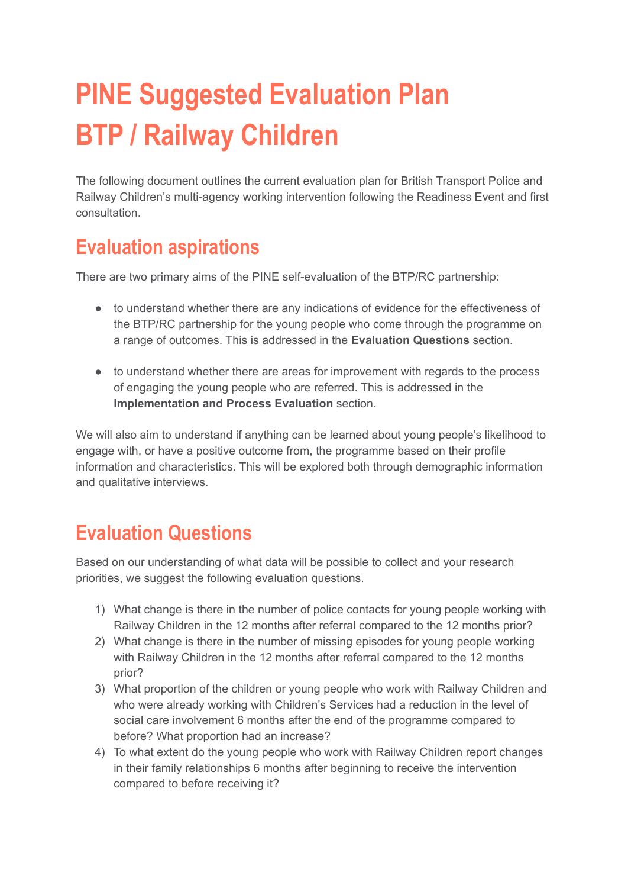# **PINE Suggested Evaluation Plan BTP / Railway Children**

The following document outlines the current evaluation plan for British Transport Police and Railway Children's multi-agency working intervention following the Readiness Event and first consultation.

# **Evaluation aspirations**

There are two primary aims of the PINE self-evaluation of the BTP/RC partnership:

- to understand whether there are any indications of evidence for the effectiveness of the BTP/RC partnership for the young people who come through the programme on a range of outcomes. This is addressed in the **Evaluation Questions** section.
- to understand whether there are areas for improvement with regards to the process of engaging the young people who are referred. This is addressed in the **Implementation and Process Evaluation** section.

We will also aim to understand if anything can be learned about young people's likelihood to engage with, or have a positive outcome from, the programme based on their profile information and characteristics. This will be explored both through demographic information and qualitative interviews.

# **Evaluation Questions**

Based on our understanding of what data will be possible to collect and your research priorities, we suggest the following evaluation questions.

- 1) What change is there in the number of police contacts for young people working with Railway Children in the 12 months after referral compared to the 12 months prior?
- 2) What change is there in the number of missing episodes for young people working with Railway Children in the 12 months after referral compared to the 12 months prior?
- 3) What proportion of the children or young people who work with Railway Children and who were already working with Children's Services had a reduction in the level of social care involvement 6 months after the end of the programme compared to before? What proportion had an increase?
- 4) To what extent do the young people who work with Railway Children report changes in their family relationships 6 months after beginning to receive the intervention compared to before receiving it?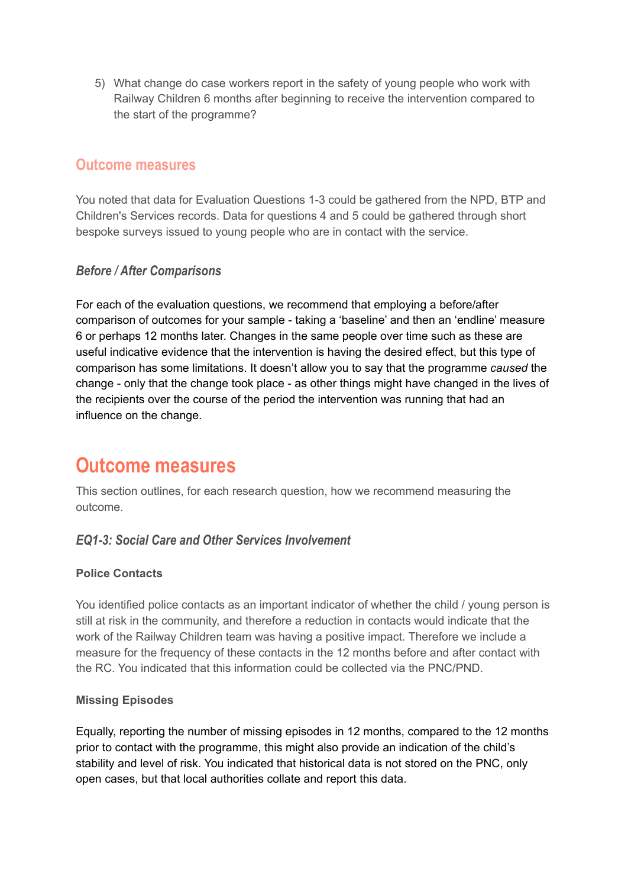5) What change do case workers report in the safety of young people who work with Railway Children 6 months after beginning to receive the intervention compared to the start of the programme?

# **Outcome measures**

You noted that data for Evaluation Questions 1-3 could be gathered from the NPD, BTP and Children's Services records. Data for questions 4 and 5 could be gathered through short bespoke surveys issued to young people who are in contact with the service.

# *Before / After Comparisons*

For each of the evaluation questions, we recommend that employing a before/after comparison of outcomes for your sample - taking a 'baseline' and then an 'endline' measure 6 or perhaps 12 months later. Changes in the same people over time such as these are useful indicative evidence that the intervention is having the desired effect, but this type of comparison has some limitations. It doesn't allow you to say that the programme *caused* the change - only that the change took place - as other things might have changed in the lives of the recipients over the course of the period the intervention was running that had an influence on the change.

# **Outcome measures**

This section outlines, for each research question, how we recommend measuring the outcome.

### *EQ1-3: Social Care and Other Services Involvement*

### **Police Contacts**

You identified police contacts as an important indicator of whether the child / young person is still at risk in the community, and therefore a reduction in contacts would indicate that the work of the Railway Children team was having a positive impact. Therefore we include a measure for the frequency of these contacts in the 12 months before and after contact with the RC. You indicated that this information could be collected via the PNC/PND.

### **Missing Episodes**

Equally, reporting the number of missing episodes in 12 months, compared to the 12 months prior to contact with the programme, this might also provide an indication of the child's stability and level of risk. You indicated that historical data is not stored on the PNC, only open cases, but that local authorities collate and report this data.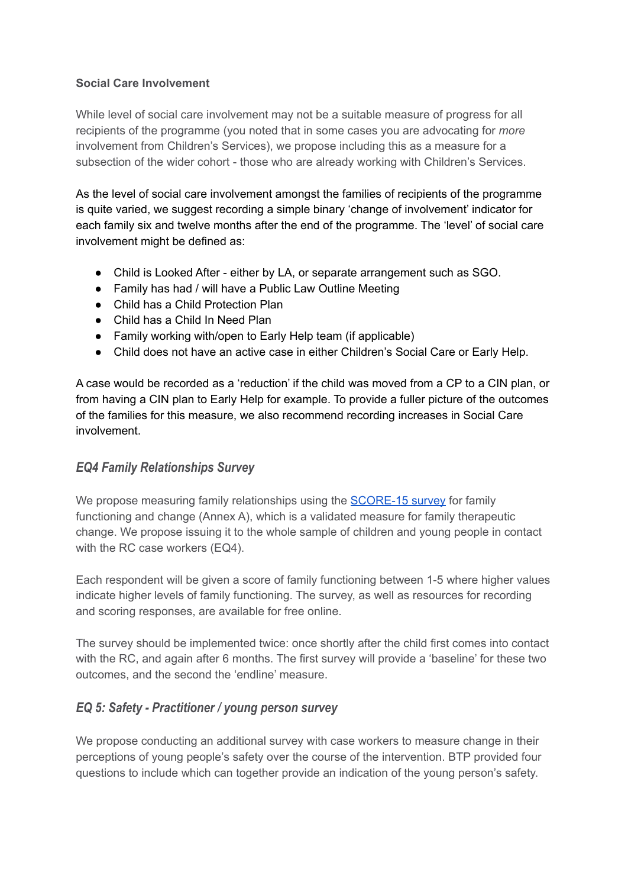### **Social Care Involvement**

While level of social care involvement may not be a suitable measure of progress for all recipients of the programme (you noted that in some cases you are advocating for *more* involvement from Children's Services), we propose including this as a measure for a subsection of the wider cohort - those who are already working with Children's Services.

As the level of social care involvement amongst the families of recipients of the programme is quite varied, we suggest recording a simple binary 'change of involvement' indicator for each family six and twelve months after the end of the programme. The 'level' of social care involvement might be defined as:

- Child is Looked After either by LA, or separate arrangement such as SGO.
- Family has had / will have a Public Law Outline Meeting
- Child has a Child Protection Plan
- Child has a Child In Need Plan
- Family working with/open to Early Help team (if applicable)
- Child does not have an active case in either Children's Social Care or Early Help.

A case would be recorded as a 'reduction' if the child was moved from a CP to a CIN plan, or from having a CIN plan to Early Help for example. To provide a fuller picture of the outcomes of the families for this measure, we also recommend recording increases in Social Care involvement.

# *EQ4 Family Relationships Survey*

We propose measuring family relationships using the [SCORE-15](https://www.aft.org.uk/view/score.html?tzcheck=1) survey for family functioning and change (Annex A), which is a validated measure for family therapeutic change. We propose issuing it to the whole sample of children and young people in contact with the RC case workers (EQ4).

Each respondent will be given a score of family functioning between 1-5 where higher values indicate higher levels of family functioning. The survey, as well as resources for recording and scoring responses, are available for free online.

The survey should be implemented twice: once shortly after the child first comes into contact with the RC, and again after 6 months. The first survey will provide a 'baseline' for these two outcomes, and the second the 'endline' measure.

# *EQ 5: Safety - Practitioner / young person survey*

We propose conducting an additional survey with case workers to measure change in their perceptions of young people's safety over the course of the intervention. BTP provided four questions to include which can together provide an indication of the young person's safety.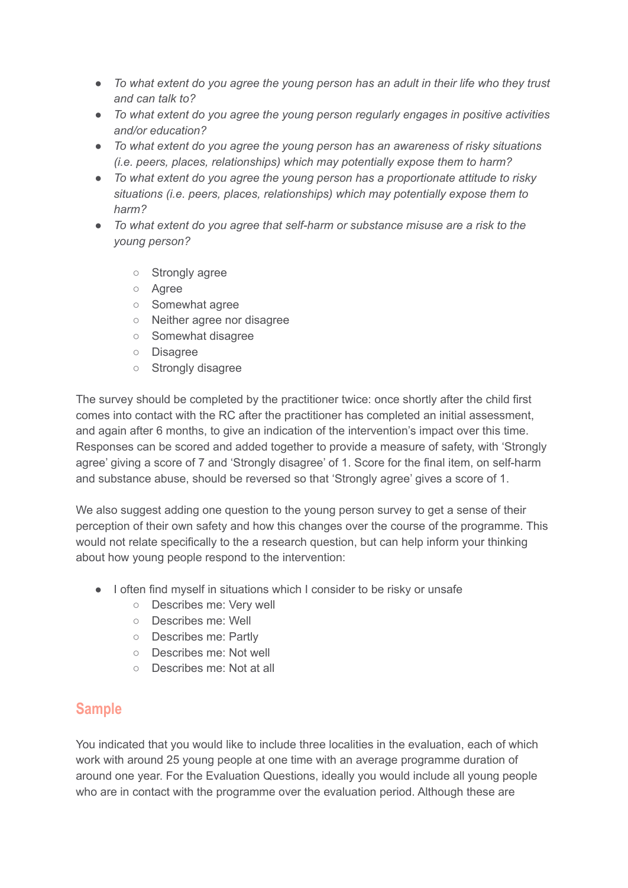- *● To what extent do you agree the young person has an adult in their life who they trust and can talk to?*
- *● To what extent do you agree the young person regularly engages in positive activities and/or education?*
- *● To what extent do you agree the young person has an awareness of risky situations (i.e. peers, places, relationships) which may potentially expose them to harm?*
- *● To what extent do you agree the young person has a proportionate attitude to risky situations (i.e. peers, places, relationships) which may potentially expose them to harm?*
- *● To what extent do you agree that self-harm or substance misuse are a risk to the young person?*
	- Strongly agree
	- Agree
	- Somewhat agree
	- Neither agree nor disagree
	- Somewhat disagree
	- Disagree
	- Strongly disagree

The survey should be completed by the practitioner twice: once shortly after the child first comes into contact with the RC after the practitioner has completed an initial assessment, and again after 6 months, to give an indication of the intervention's impact over this time. Responses can be scored and added together to provide a measure of safety, with 'Strongly agree' giving a score of 7 and 'Strongly disagree' of 1. Score for the final item, on self-harm and substance abuse, should be reversed so that 'Strongly agree' gives a score of 1.

We also suggest adding one question to the young person survey to get a sense of their perception of their own safety and how this changes over the course of the programme. This would not relate specifically to the a research question, but can help inform your thinking about how young people respond to the intervention:

- I often find myself in situations which I consider to be risky or unsafe
	- Describes me: Very well
	- Describes me: Well
	- Describes me: Partly
	- Describes me: Not well
	- Describes me: Not at all

# **Sample**

You indicated that you would like to include three localities in the evaluation, each of which work with around 25 young people at one time with an average programme duration of around one year. For the Evaluation Questions, ideally you would include all young people who are in contact with the programme over the evaluation period. Although these are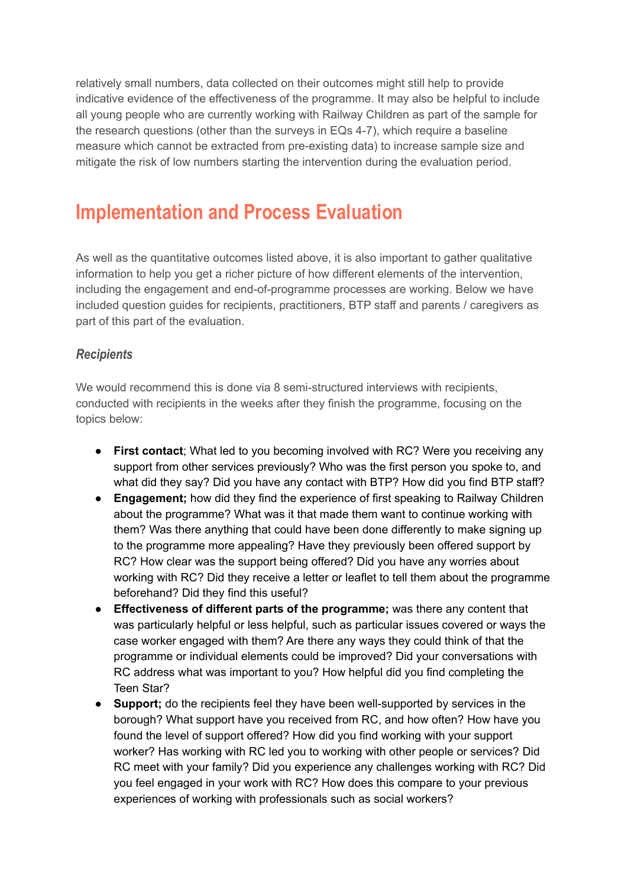relatively small numbers, data collected on their outcomes might still help to provide indicative evidence of the effectiveness of the programme. It may also be helpful to include all young people who are currently working with Railway Children as part of the sample for the research questions (other than the surveys in EQs 4-7), which require a baseline measure which cannot be extracted from pre-existing data) to increase sample size and mitigate the risk of low numbers starting the intervention during the evaluation period.

# **Implementation and Process Evaluation**

As well as the quantitative outcomes listed above, it is also important to gather qualitative information to help you get a richer picture of how different elements of the intervention, including the engagement and end-of-programme processes are working. Below we have included question guides for recipients, practitioners, BTP staff and parents / caregivers as part of this part of the evaluation.

# *Recipients*

We would recommend this is done via 8 semi-structured interviews with recipients, conducted with recipients in the weeks after they finish the programme, focusing on the topics below:

- **First contact**; What led to you becoming involved with RC? Were you receiving any support from other services previously? Who was the first person you spoke to, and what did they say? Did you have any contact with BTP? How did you find BTP staff?
- **Engagement:** how did they find the experience of first speaking to Railway Children about the programme? What was it that made them want to continue working with them? Was there anything that could have been done differently to make signing up to the programme more appealing? Have they previously been offered support by RC? How clear was the support being offered? Did you have any worries about working with RC? Did they receive a letter or leaflet to tell them about the programme beforehand? Did they find this useful?
- **Effectiveness of different parts of the programme;** was there any content that was particularly helpful or less helpful, such as particular issues covered or ways the case worker engaged with them? Are there any ways they could think of that the programme or individual elements could be improved? Did your conversations with RC address what was important to you? How helpful did you find completing the Teen Star?
- **● Support;** do the recipients feel they have been well-supported by services in the borough? What support have you received from RC, and how often? How have you found the level of support offered? How did you find working with your support worker? Has working with RC led you to working with other people or services? Did RC meet with your family? Did you experience any challenges working with RC? Did you feel engaged in your work with RC? How does this compare to your previous experiences of working with professionals such as social workers?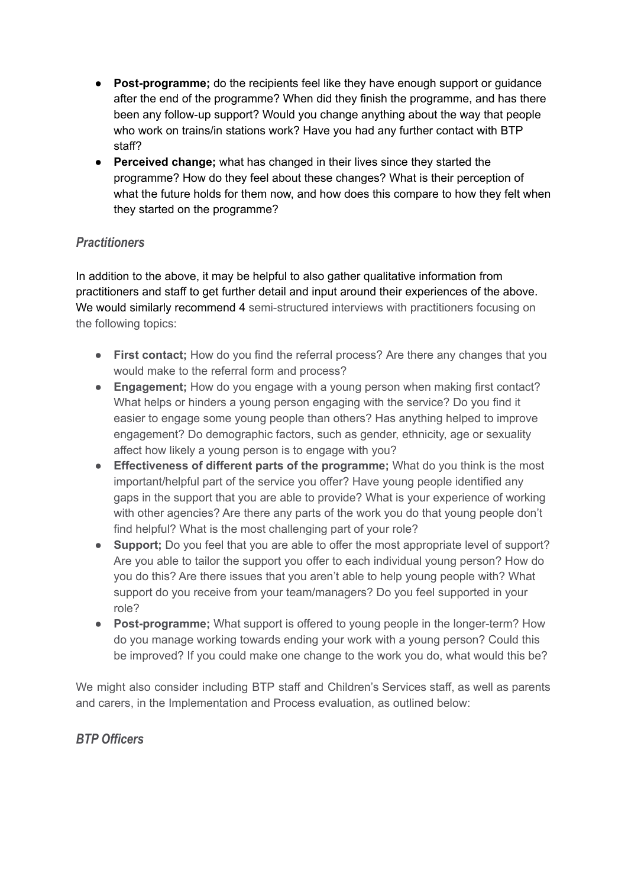- **Post-programme;** do the recipients feel like they have enough support or guidance after the end of the programme? When did they finish the programme, and has there been any follow-up support? Would you change anything about the way that people who work on trains/in stations work? Have you had any further contact with BTP staff?
- **● Perceived change;** what has changed in their lives since they started the programme? How do they feel about these changes? What is their perception of what the future holds for them now, and how does this compare to how they felt when they started on the programme?

# *Practitioners*

In addition to the above, it may be helpful to also gather qualitative information from practitioners and staff to get further detail and input around their experiences of the above. We would similarly recommend 4 semi-structured interviews with practitioners focusing on the following topics:

- **● First contact;** How do you find the referral process? Are there any changes that you would make to the referral form and process?
- **● Engagement;** How do you engage with a young person when making first contact? What helps or hinders a young person engaging with the service? Do you find it easier to engage some young people than others? Has anything helped to improve engagement? Do demographic factors, such as gender, ethnicity, age or sexuality affect how likely a young person is to engage with you?
- **● Effectiveness of different parts of the programme;** What do you think is the most important/helpful part of the service you offer? Have young people identified any gaps in the support that you are able to provide? What is your experience of working with other agencies? Are there any parts of the work you do that young people don't find helpful? What is the most challenging part of your role?
- **● Support;** Do you feel that you are able to offer the most appropriate level of support? Are you able to tailor the support you offer to each individual young person? How do you do this? Are there issues that you aren't able to help young people with? What support do you receive from your team/managers? Do you feel supported in your role?
- **● Post-programme;** What support is offered to young people in the longer-term? How do you manage working towards ending your work with a young person? Could this be improved? If you could make one change to the work you do, what would this be?

We might also consider including BTP staff and Children's Services staff, as well as parents and carers, in the Implementation and Process evaluation, as outlined below:

# *BTP Officers*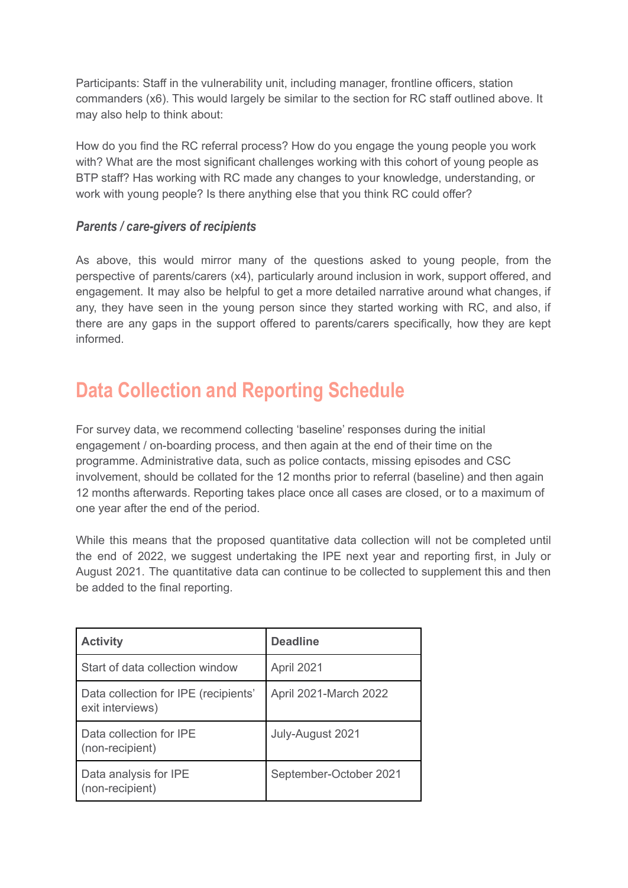Participants: Staff in the vulnerability unit, including manager, frontline officers, station commanders (x6). This would largely be similar to the section for RC staff outlined above. It may also help to think about:

How do you find the RC referral process? How do you engage the young people you work with? What are the most significant challenges working with this cohort of young people as BTP staff? Has working with RC made any changes to your knowledge, understanding, or work with young people? Is there anything else that you think RC could offer?

### *Parents / care-givers of recipients*

As above, this would mirror many of the questions asked to young people, from the perspective of parents/carers (x4), particularly around inclusion in work, support offered, and engagement. It may also be helpful to get a more detailed narrative around what changes, if any, they have seen in the young person since they started working with RC, and also, if there are any gaps in the support offered to parents/carers specifically, how they are kept informed.

# **Data Collection and Reporting Schedule**

For survey data, we recommend collecting 'baseline' responses during the initial engagement / on-boarding process, and then again at the end of their time on the programme. Administrative data, such as police contacts, missing episodes and CSC involvement, should be collated for the 12 months prior to referral (baseline) and then again 12 months afterwards. Reporting takes place once all cases are closed, or to a maximum of one year after the end of the period.

While this means that the proposed quantitative data collection will not be completed until the end of 2022, we suggest undertaking the IPE next year and reporting first, in July or August 2021. The quantitative data can continue to be collected to supplement this and then be added to the final reporting.

| <b>Activity</b>                                          | <b>Deadline</b>        |
|----------------------------------------------------------|------------------------|
| Start of data collection window                          | April 2021             |
| Data collection for IPE (recipients'<br>exit interviews) | April 2021-March 2022  |
| Data collection for IPE<br>(non-recipient)               | July-August 2021       |
| Data analysis for IPE<br>(non-recipient)                 | September-October 2021 |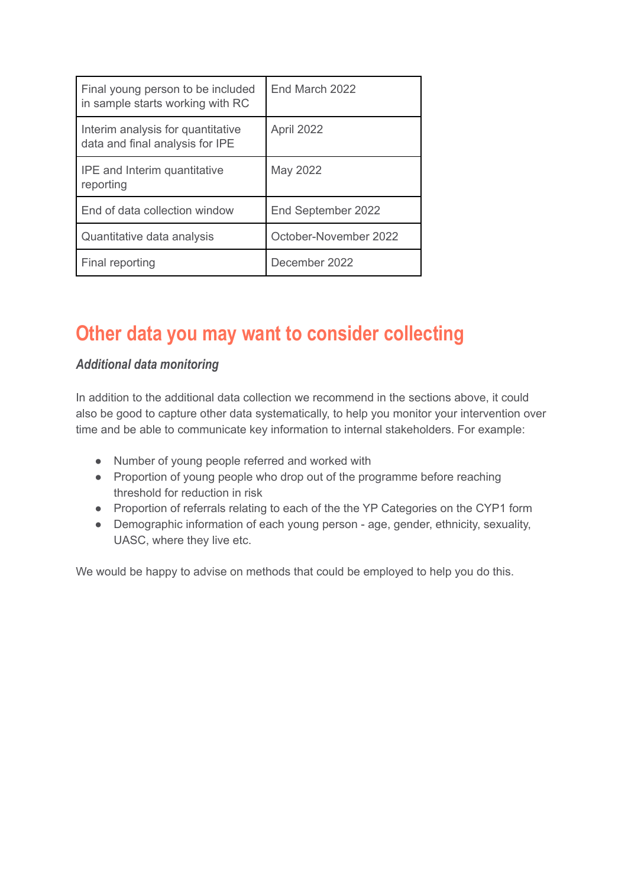| Final young person to be included<br>in sample starts working with RC | End March 2022        |
|-----------------------------------------------------------------------|-----------------------|
| Interim analysis for quantitative<br>data and final analysis for IPE  | April 2022            |
| <b>IPE</b> and Interim quantitative<br>reporting                      | May 2022              |
| End of data collection window                                         | End September 2022    |
| Quantitative data analysis                                            | October-November 2022 |
| Final reporting                                                       | December 2022         |

# **Other data you may want to consider collecting**

# *Additional data monitoring*

In addition to the additional data collection we recommend in the sections above, it could also be good to capture other data systematically, to help you monitor your intervention over time and be able to communicate key information to internal stakeholders. For example:

- Number of young people referred and worked with
- Proportion of young people who drop out of the programme before reaching threshold for reduction in risk
- Proportion of referrals relating to each of the the YP Categories on the CYP1 form
- Demographic information of each young person age, gender, ethnicity, sexuality, UASC, where they live etc.

We would be happy to advise on methods that could be employed to help you do this.